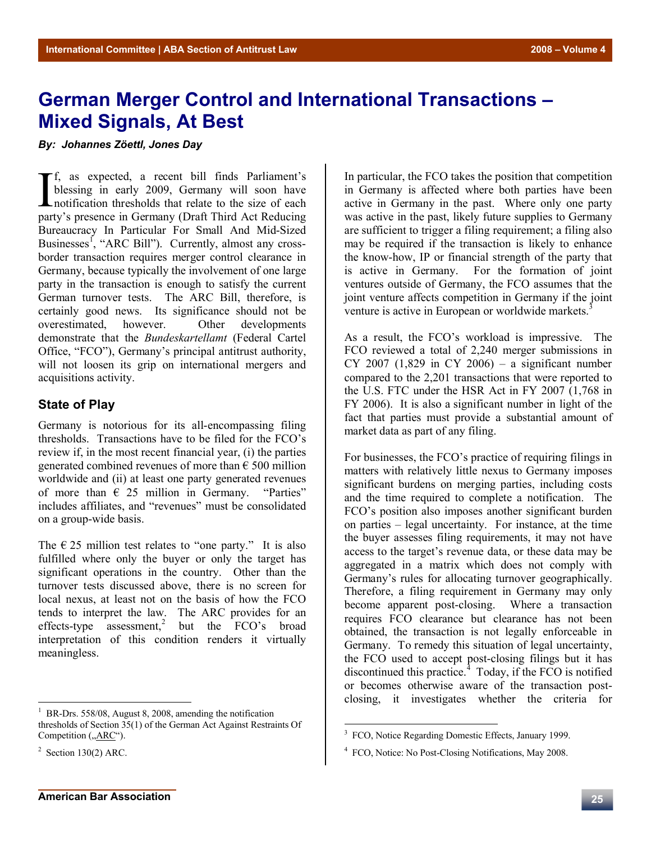## **German Merger Control and International Transactions – Mixed Signals, At Best**

*By: Johannes Zöettl, Jones Day*

f, as expected, a recent bill finds Parliament's blessing in early 2009, Germany will soon have If, as expected, a recent bill finds Parliament's<br>blessing in early 2009, Germany will soon have<br>notification thresholds that relate to the size of each<br>norty's presence in Germany (Draft Third Act Bedyaing) party's presence in Germany (Draft Third Act Reducing Bureaucracy In Particular For Small And Mid-Sized Businesses<sup>1</sup>, "ARC Bill"). Currently, almost any crossborder transaction requires merger control clearance in Germany, because typically the involvement of one large party in the transaction is enough to satisfy the current German turnover tests. The ARC Bill, therefore, is certainly good news. Its significance should not be overestimated, however. Other developments demonstrate that the *Bundeskartellamt* (Federal Cartel Office, "FCO"), Germany's principal antitrust authority, will not loosen its grip on international mergers and acquisitions activity.

## **State of Play**

Germany is notorious for its all-encompassing filing thresholds. Transactions have to be filed for the FCO's review if, in the most recent financial year, (i) the parties generated combined revenues of more than  $\epsilon$  500 million worldwide and (ii) at least one party generated revenues of more than  $\epsilon$  25 million in Germany. "Parties" includes affiliates, and "revenues" must be consolidated on a group-wide basis.

The  $\epsilon$  25 million test relates to "one party." It is also fulfilled where only the buyer or only the target has significant operations in the country. Other than the turnover tests discussed above, there is no screen for local nexus, at least not on the basis of how the FCO tends to interpret the law. The ARC provides for an effects-type  $\text{assert}$  assessment,<sup>2</sup> but the FCO's broad interpretation of this condition renders it virtually meaningless.

 $\overline{a}$ 

In particular, the FCO takes the position that competition in Germany is affected where both parties have been active in Germany in the past. Where only one party was active in the past, likely future supplies to Germany are sufficient to trigger a filing requirement; a filing also may be required if the transaction is likely to enhance the know-how, IP or financial strength of the party that is active in Germany. For the formation of joint ventures outside of Germany, the FCO assumes that the joint venture affects competition in Germany if the joint venture is active in European or worldwide markets.<sup>3</sup>

As a result, the FCO's workload is impressive. The FCO reviewed a total of 2,240 merger submissions in CY 2007 (1,829 in CY 2006) – a significant number compared to the 2,201 transactions that were reported to the U.S. FTC under the HSR Act in FY 2007 (1,768 in FY 2006). It is also a significant number in light of the fact that parties must provide a substantial amount of market data as part of any filing.

For businesses, the FCO's practice of requiring filings in matters with relatively little nexus to Germany imposes significant burdens on merging parties, including costs and the time required to complete a notification. The FCO's position also imposes another significant burden on parties – legal uncertainty. For instance, at the time the buyer assesses filing requirements, it may not have access to the target's revenue data, or these data may be aggregated in a matrix which does not comply with Germany's rules for allocating turnover geographically. Therefore, a filing requirement in Germany may only become apparent post-closing. Where a transaction requires FCO clearance but clearance has not been obtained, the transaction is not legally enforceable in Germany. To remedy this situation of legal uncertainty, the FCO used to accept post-closing filings but it has discontinued this practice. $4$  Today, if the FCO is notified or becomes otherwise aware of the transaction postclosing, it investigates whether the criteria for

<sup>1</sup> BR-Drs. 558/08, August 8, 2008, amending the notification thresholds of Section 35(1) of the German Act Against Restraints Of Competition ("ARC").

 $2$  Section 130(2) ARC.

<sup>&</sup>lt;sup>3</sup> FCO, Notice Regarding Domestic Effects, January 1999.

<sup>&</sup>lt;sup>4</sup> FCO, Notice: No Post-Closing Notifications, May 2008.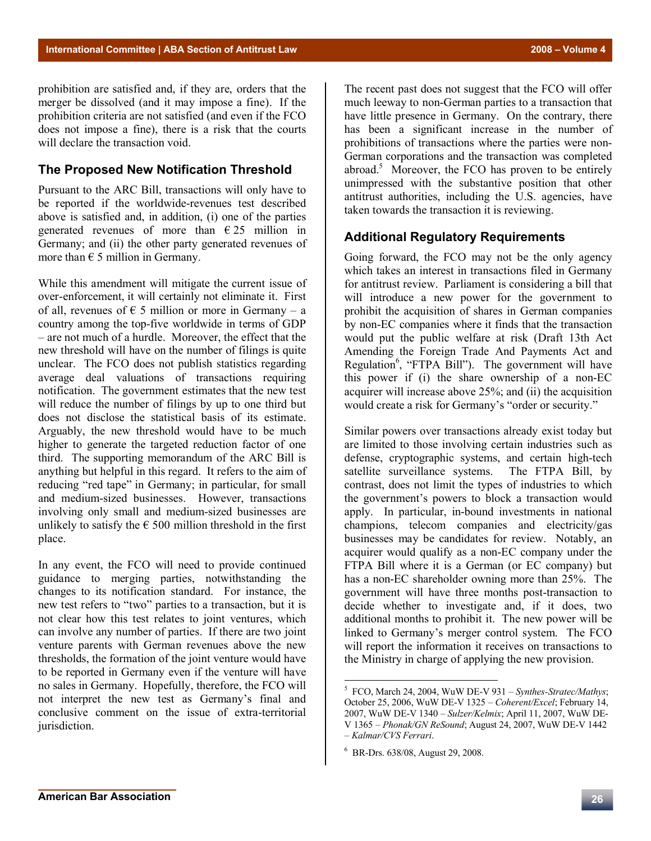prohibition are satisfied and, if they are, orders that the merger be dissolved (and it may impose a fine). If the prohibition criteria are not satisfied (and even if the FCO does not impose a fine), there is a risk that the courts will declare the transaction void.

## **The Proposed New Notification Threshold**

Pursuant to the ARC Bill, transactions will only have to be reported if the worldwide-revenues test described above is satisfied and, in addition, (i) one of the parties generated revenues of more than  $\epsilon$  25 million in Germany; and (ii) the other party generated revenues of more than  $\epsilon$  5 million in Germany.

While this amendment will mitigate the current issue of over-enforcement, it will certainly not eliminate it. First of all, revenues of  $\epsilon$  5 million or more in Germany – a country among the top-five worldwide in terms of GDP – are not much of a hurdle. Moreover, the effect that the new threshold will have on the number of filings is quite unclear. The FCO does not publish statistics regarding average deal valuations of transactions requiring notification. The government estimates that the new test will reduce the number of filings by up to one third but does not disclose the statistical basis of its estimate. Arguably, the new threshold would have to be much higher to generate the targeted reduction factor of one third. The supporting memorandum of the ARC Bill is anything but helpful in this regard. It refers to the aim of reducing "red tape" in Germany; in particular, for small and medium-sized businesses. However, transactions involving only small and medium-sized businesses are unlikely to satisfy the  $\epsilon$  500 million threshold in the first place.

In any event, the FCO will need to provide continued guidance to merging parties, notwithstanding the changes to its notification standard. For instance, the new test refers to "two" parties to a transaction, but it is not clear how this test relates to joint ventures, which can involve any number of parties. If there are two joint venture parents with German revenues above the new thresholds, the formation of the joint venture would have to be reported in Germany even if the venture will have no sales in Germany. Hopefully, therefore, the FCO will not interpret the new test as Germany's final and conclusive comment on the issue of extra-territorial jurisdiction.

The recent past does not suggest that the FCO will offer much leeway to non-German parties to a transaction that have little presence in Germany. On the contrary, there has been a significant increase in the number of prohibitions of transactions where the parties were non-German corporations and the transaction was completed abroad.<sup>5</sup> Moreover, the FCO has proven to be entirely unimpressed with the substantive position that other antitrust authorities, including the U.S. agencies, have taken towards the transaction it is reviewing.

## **Additional Regulatory Requirements**

Going forward, the FCO may not be the only agency which takes an interest in transactions filed in Germany for antitrust review. Parliament is considering a bill that will introduce a new power for the government to prohibit the acquisition of shares in German companies by non-EC companies where it finds that the transaction would put the public welfare at risk (Draft 13th Act Amending the Foreign Trade And Payments Act and Regulation<sup>6</sup>, "FTPA Bill"). The government will have this power if (i) the share ownership of a non-EC acquirer will increase above 25%; and (ii) the acquisition would create a risk for Germany's "order or security."

Similar powers over transactions already exist today but are limited to those involving certain industries such as defense, cryptographic systems, and certain high-tech satellite surveillance systems. The FTPA Bill, by contrast, does not limit the types of industries to which the government's powers to block a transaction would apply. In particular, in-bound investments in national champions, telecom companies and electricity/gas businesses may be candidates for review. Notably, an acquirer would qualify as a non-EC company under the FTPA Bill where it is a German (or EC company) but has a non-EC shareholder owning more than 25%. The government will have three months post-transaction to decide whether to investigate and, if it does, two additional months to prohibit it. The new power will be linked to Germany's merger control system. The FCO will report the information it receives on transactions to the Ministry in charge of applying the new provision.

 5 FCO, March 24, 2004, WuW DE-V 931 – *Synthes-Stratec/Mathys*; October 25, 2006, WuW DE-V 1325 – *Coherent/Excel*; February 14, 2007, WuW DE-V 1340 – *Sulzer/Kelmix*; April 11, 2007, WuW DE-V 1365 – *Phonak/GN ReSound*; August 24, 2007, WuW DE-V 1442 – *Kalmar/CVS Ferrari*.

<sup>6</sup> BR-Drs. 638/08, August 29, 2008.